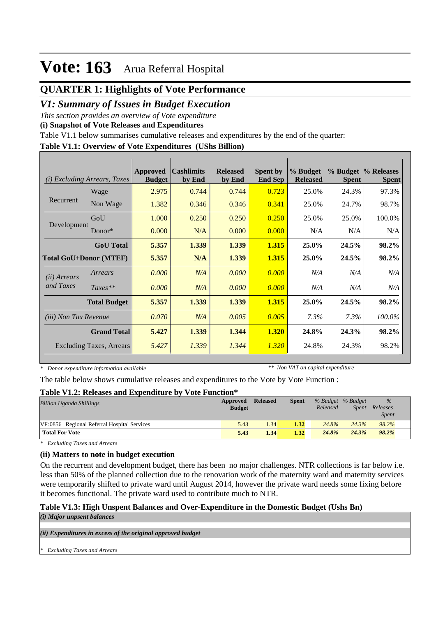### **QUARTER 1: Highlights of Vote Performance**

### *V1: Summary of Issues in Budget Execution*

*This section provides an overview of Vote expenditure* 

**(i) Snapshot of Vote Releases and Expenditures**

Table V1.1 below summarises cumulative releases and expenditures by the end of the quarter:

#### **Table V1.1: Overview of Vote Expenditures (UShs Billion)**

| (i)                          | <i>Excluding Arrears, Taxes</i> | Approved<br><b>Budget</b> | $\alpha$ cashlimits<br>by End | <b>Released</b><br>by End | <b>Spent by</b><br><b>End Sep</b> | % Budget<br><b>Released</b> | <b>Spent</b> | % Budget % Releases<br><b>Spent</b> |
|------------------------------|---------------------------------|---------------------------|-------------------------------|---------------------------|-----------------------------------|-----------------------------|--------------|-------------------------------------|
|                              | Wage                            | 2.975                     | 0.744                         | 0.744                     | 0.723                             | 25.0%                       | 24.3%        | 97.3%                               |
| Recurrent                    | Non Wage                        | 1.382                     | 0.346                         | 0.346                     | 0.341                             | 25.0%                       | 24.7%        | 98.7%                               |
|                              | GoU                             | 1.000                     | 0.250                         | 0.250                     | 0.250                             | 25.0%                       | 25.0%        | 100.0%                              |
| Development                  | $Donor*$                        | 0.000                     | N/A                           | 0.000                     | 0.000                             | N/A                         | N/A          | N/A                                 |
|                              | <b>GoU</b> Total                | 5.357                     | 1.339                         | 1.339                     | 1.315                             | 25.0%                       | 24.5%        | 98.2%                               |
|                              | <b>Total GoU+Donor (MTEF)</b>   | 5.357                     | N/A                           | 1.339                     | 1.315                             | 25.0%                       | 24.5%        | 98.2%                               |
| ( <i>ii</i> ) Arrears        | Arrears                         | 0.000                     | N/A                           | 0.000                     | 0.000                             | N/A                         | N/A          | N/A                                 |
| and Taxes                    | $Taxes**$                       | 0.000                     | N/A                           | 0.000                     | 0.000                             | N/A                         | N/A          | N/A                                 |
|                              | <b>Total Budget</b>             | 5.357                     | 1.339                         | 1.339                     | 1.315                             | 25.0%                       | 24.5%        | 98.2%                               |
| <i>(iii)</i> Non Tax Revenue |                                 | 0.070                     | N/A                           | 0.005                     | 0.005                             | 7.3%                        | 7.3%         | 100.0%                              |
|                              | <b>Grand Total</b>              | 5.427                     | 1.339                         | 1.344                     | 1.320                             | 24.8%                       | 24.3%        | 98.2%                               |
|                              | <b>Excluding Taxes, Arrears</b> | 5.427                     | 1.339                         | 1.344                     | 1.320                             | 24.8%                       | 24.3%        | 98.2%                               |

*\* Donor expenditure information available*

*\*\* Non VAT on capital expenditure*

The table below shows cumulative releases and expenditures to the Vote by Vote Function :

#### **Table V1.2: Releases and Expenditure by Vote Function\***

| <b>Billion Uganda Shillings</b>             | Approved<br><b>Budget</b> | <b>Released</b> | <b>Spent</b> | Released | % Budget % Budget<br>Spent | $\frac{9}{6}$<br>Releases<br><b>Spent</b> |
|---------------------------------------------|---------------------------|-----------------|--------------|----------|----------------------------|-------------------------------------------|
| VF:0856 Regional Referral Hospital Services | 5.43                      | 1.34            | 1.32         | 24.8%    | 24.3%                      | 98.2%                                     |
| <b>Total For Vote</b>                       | 5.43                      | 1.34            | 1.32         | 24.8%    | 24.3%                      | 98.2%                                     |

*\* Excluding Taxes and Arrears*

### **(ii) Matters to note in budget execution**

On the recurrent and development budget, there has been no major challenges. NTR collections is far below i.e. less than 50% of the planned collection due to the renovation work of the maternity ward and maternity services were temporarily shifted to private ward until August 2014, however the private ward needs some fixing before it becomes functional. The private ward used to contribute much to NTR.

### **Table V1.3: High Unspent Balances and Over-Expenditure in the Domestic Budget (Ushs Bn)**

*(i) Major unpsent balances*

*(ii) Expenditures in excess of the original approved budget*

*\* Excluding Taxes and Arrears*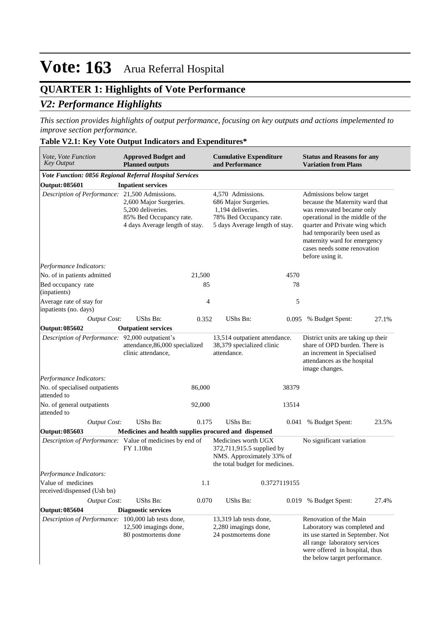## **QUARTER 1: Highlights of Vote Performance**

### *V2: Performance Highlights*

*This section provides highlights of output performance, focusing on key outputs and actions impelemented to improve section performance.*

#### **Table V2.1: Key Vote Output Indicators and Expenditures\***

| Vote, Vote Function<br><b>Key Output</b>                | <b>Approved Budget and</b><br><b>Planned outputs</b>                                                     |        | <b>Cumulative Expenditure</b><br>and Performance                                                                            |              | <b>Status and Reasons for any</b><br><b>Variation from Plans</b>                                                                                                                                                                                                                 |       |  |
|---------------------------------------------------------|----------------------------------------------------------------------------------------------------------|--------|-----------------------------------------------------------------------------------------------------------------------------|--------------|----------------------------------------------------------------------------------------------------------------------------------------------------------------------------------------------------------------------------------------------------------------------------------|-------|--|
| Vote Function: 0856 Regional Referral Hospital Services |                                                                                                          |        |                                                                                                                             |              |                                                                                                                                                                                                                                                                                  |       |  |
| Output: 085601                                          | <b>Inpatient services</b>                                                                                |        |                                                                                                                             |              |                                                                                                                                                                                                                                                                                  |       |  |
| Description of Performance: 21,500 Admissions.          | 2,600 Major Surgeries.<br>5,200 deliveries.<br>85% Bed Occupancy rate.<br>4 days Average length of stay. |        | 4,570 Admissions.<br>686 Major Surgeries.<br>1,194 deliveries.<br>78% Bed Occupancy rate.<br>5 days Average length of stay. |              | Admissions below target<br>because the Maternity ward that<br>was renovated became only<br>operational in the middle of the<br>quarter and Private wing which<br>had temporarily been used as<br>maternity ward for emergency<br>cases needs some renovation<br>before using it. |       |  |
| Performance Indicators:                                 |                                                                                                          |        |                                                                                                                             |              |                                                                                                                                                                                                                                                                                  |       |  |
| No. of in patients admitted                             |                                                                                                          | 21,500 |                                                                                                                             | 4570         |                                                                                                                                                                                                                                                                                  |       |  |
| Bed occupancy rate<br>(inpatients)                      |                                                                                                          | 85     |                                                                                                                             | 78           |                                                                                                                                                                                                                                                                                  |       |  |
| Average rate of stay for<br>inpatients (no. days)       |                                                                                                          | 4      |                                                                                                                             | 5            |                                                                                                                                                                                                                                                                                  |       |  |
| <b>Output Cost:</b>                                     | <b>UShs Bn:</b>                                                                                          | 0.352  | UShs Bn:                                                                                                                    | 0.095        | % Budget Spent:                                                                                                                                                                                                                                                                  | 27.1% |  |
| Output: 085602                                          | <b>Outpatient services</b>                                                                               |        |                                                                                                                             |              |                                                                                                                                                                                                                                                                                  |       |  |
| Description of Performance: 92,000 outpatient's         | attendance, 86,000 specialized<br>clinic attendance,                                                     |        | 13,514 outpatient attendance.<br>38,379 specialized clinic<br>attendance.                                                   |              | District units are taking up their<br>share of OPD burden. There is<br>an increment in Specialised<br>attendances as the hospital<br>image changes.                                                                                                                              |       |  |
| Performance Indicators:                                 |                                                                                                          |        |                                                                                                                             |              |                                                                                                                                                                                                                                                                                  |       |  |
| No. of specialised outpatients<br>attended to           |                                                                                                          | 86,000 |                                                                                                                             | 38379        |                                                                                                                                                                                                                                                                                  |       |  |
| No. of general outpatients<br>attended to               |                                                                                                          | 92,000 |                                                                                                                             | 13514        |                                                                                                                                                                                                                                                                                  |       |  |
| <b>Output Cost:</b>                                     | UShs Bn:                                                                                                 | 0.175  | UShs Bn:                                                                                                                    |              | 0.041 % Budget Spent:                                                                                                                                                                                                                                                            | 23.5% |  |
| Output: 085603                                          | Medicines and health supplies procured and dispensed                                                     |        |                                                                                                                             |              |                                                                                                                                                                                                                                                                                  |       |  |
|                                                         | Description of Performance: Value of medicines by end of<br>FY 1.10bn                                    |        | Medicines worth UGX<br>372,711,915.5 supplied by<br>NMS. Approximately 33% of<br>the total budget for medicines.            |              | No significant variation                                                                                                                                                                                                                                                         |       |  |
| Performance Indicators:                                 |                                                                                                          |        |                                                                                                                             |              |                                                                                                                                                                                                                                                                                  |       |  |
| Value of medicines<br>received/dispensed (Ush bn)       |                                                                                                          | 1.1    |                                                                                                                             | 0.3727119155 |                                                                                                                                                                                                                                                                                  |       |  |
| <b>Output Cost:</b>                                     | UShs Bn:                                                                                                 | 0.070  | UShs Bn:                                                                                                                    | 0.019        | % Budget Spent:                                                                                                                                                                                                                                                                  | 27.4% |  |
| Output: 085604                                          | <b>Diagnostic services</b>                                                                               |        |                                                                                                                             |              |                                                                                                                                                                                                                                                                                  |       |  |
| Description of Performance:                             | 100,000 lab tests done,<br>12,500 imagings done,<br>80 postmortems done                                  |        | 13,319 lab tests done,<br>2,280 imagings done,<br>24 postmortems done                                                       |              | Renovation of the Main<br>Laboratory was completed and<br>its use started in September. Not<br>all range laboratory services<br>were offered in hospital, thus<br>the below target performance.                                                                                  |       |  |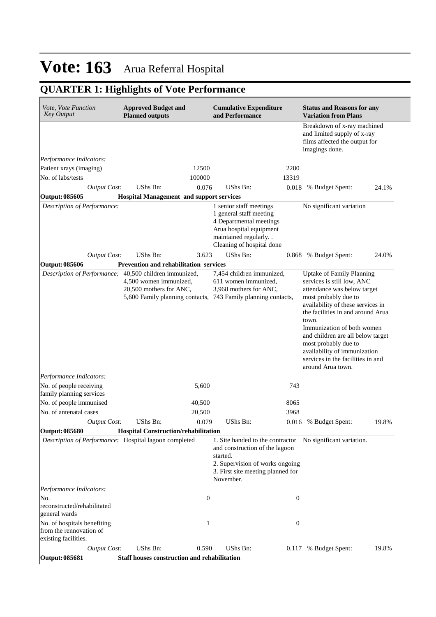## **QUARTER 1: Highlights of Vote Performance**

| <i>Vote, Vote Function</i><br><b>Key Output</b>                                |  | <b>Approved Budget and</b><br><b>Planned outputs</b>                                                               |                  | <b>Cumulative Expenditure</b><br>and Performance                                                                                                                 |       | <b>Status and Reasons for any</b><br><b>Variation from Plans</b>                                                                                                                                                                                                                                                                                                                              |       |  |  |
|--------------------------------------------------------------------------------|--|--------------------------------------------------------------------------------------------------------------------|------------------|------------------------------------------------------------------------------------------------------------------------------------------------------------------|-------|-----------------------------------------------------------------------------------------------------------------------------------------------------------------------------------------------------------------------------------------------------------------------------------------------------------------------------------------------------------------------------------------------|-------|--|--|
|                                                                                |  |                                                                                                                    |                  |                                                                                                                                                                  |       | Breakdown of x-ray machined<br>and limited supply of x-ray<br>films affected the output for<br>imagings done.                                                                                                                                                                                                                                                                                 |       |  |  |
| Performance Indicators:                                                        |  |                                                                                                                    |                  |                                                                                                                                                                  |       |                                                                                                                                                                                                                                                                                                                                                                                               |       |  |  |
| Patient xrays (imaging)                                                        |  |                                                                                                                    | 12500            |                                                                                                                                                                  | 2280  |                                                                                                                                                                                                                                                                                                                                                                                               |       |  |  |
| No. of labs/tests                                                              |  |                                                                                                                    | 100000<br>0.076  | UShs Bn:                                                                                                                                                         | 13319 |                                                                                                                                                                                                                                                                                                                                                                                               |       |  |  |
| Output Cost:<br>Output: 085605                                                 |  | UShs Bn:<br><b>Hospital Management and support services</b>                                                        |                  |                                                                                                                                                                  | 0.018 | % Budget Spent:                                                                                                                                                                                                                                                                                                                                                                               | 24.1% |  |  |
| Description of Performance:                                                    |  |                                                                                                                    |                  | 1 senior staff meetings<br>1 general staff meeting<br>4 Departmental meetings<br>Arua hospital equipment<br>maintained regularly. .<br>Cleaning of hospital done |       | No significant variation                                                                                                                                                                                                                                                                                                                                                                      |       |  |  |
| <b>Output Cost:</b>                                                            |  | UShs Bn:                                                                                                           | 3.623            | UShs Bn:                                                                                                                                                         | 0.868 | % Budget Spent:                                                                                                                                                                                                                                                                                                                                                                               | 24.0% |  |  |
| Output: 085606                                                                 |  | <b>Prevention and rehabilitation services</b>                                                                      |                  |                                                                                                                                                                  |       |                                                                                                                                                                                                                                                                                                                                                                                               |       |  |  |
| Description of Performance: 40,500 children immunized,                         |  | 4.500 women immunized.<br>20,500 mothers for ANC,<br>5,600 Family planning contacts, 743 Family planning contacts, |                  | 7,454 children immunized,<br>611 women immunized,<br>3,968 mothers for ANC,                                                                                      |       | <b>Uptake of Family Planning</b><br>services is still low, ANC<br>attendance was below target<br>most probably due to<br>availability of these services in<br>the facilities in and around Arua<br>town.<br>Immunization of both women<br>and children are all below target<br>most probably due to<br>availability of immunization<br>services in the facilities in and<br>around Arua town. |       |  |  |
| Performance Indicators:<br>No. of people receiving<br>family planning services |  |                                                                                                                    | 5,600            |                                                                                                                                                                  | 743   |                                                                                                                                                                                                                                                                                                                                                                                               |       |  |  |
| No. of people immunised                                                        |  |                                                                                                                    | 40,500           |                                                                                                                                                                  | 8065  |                                                                                                                                                                                                                                                                                                                                                                                               |       |  |  |
| No. of antenatal cases                                                         |  |                                                                                                                    | 20,500           |                                                                                                                                                                  | 3968  |                                                                                                                                                                                                                                                                                                                                                                                               |       |  |  |
| Output Cost:                                                                   |  | UShs Bn:                                                                                                           | 0.079            | UShs Bn:                                                                                                                                                         | 0.016 | % Budget Spent:                                                                                                                                                                                                                                                                                                                                                                               | 19.8% |  |  |
| Output: 085680                                                                 |  | <b>Hospital Construction/rehabilitation</b>                                                                        |                  |                                                                                                                                                                  |       |                                                                                                                                                                                                                                                                                                                                                                                               |       |  |  |
| Description of Performance: Hospital lagoon completed                          |  |                                                                                                                    |                  | and construction of the lagoon<br>started.<br>2. Supervision of works ongoing<br>3. First site meeting planned for<br>November.                                  |       | 1. Site handed to the contractor No significant variation.                                                                                                                                                                                                                                                                                                                                    |       |  |  |
| Performance Indicators:                                                        |  |                                                                                                                    |                  |                                                                                                                                                                  |       |                                                                                                                                                                                                                                                                                                                                                                                               |       |  |  |
| No.<br>reconstructed/rehabilitated<br>general wards                            |  |                                                                                                                    | $\boldsymbol{0}$ |                                                                                                                                                                  |       | $\boldsymbol{0}$                                                                                                                                                                                                                                                                                                                                                                              |       |  |  |
| No. of hospitals benefiting<br>from the rennovation of<br>existing facilities. |  |                                                                                                                    | 1                |                                                                                                                                                                  |       | $\boldsymbol{0}$                                                                                                                                                                                                                                                                                                                                                                              |       |  |  |
| <b>Output Cost:</b>                                                            |  | UShs Bn:                                                                                                           | 0.590            | UShs Bn:                                                                                                                                                         |       | 0.117 % Budget Spent:                                                                                                                                                                                                                                                                                                                                                                         | 19.8% |  |  |
| <b>Output: 085681</b>                                                          |  | Staff houses construction and rehabilitation                                                                       |                  |                                                                                                                                                                  |       |                                                                                                                                                                                                                                                                                                                                                                                               |       |  |  |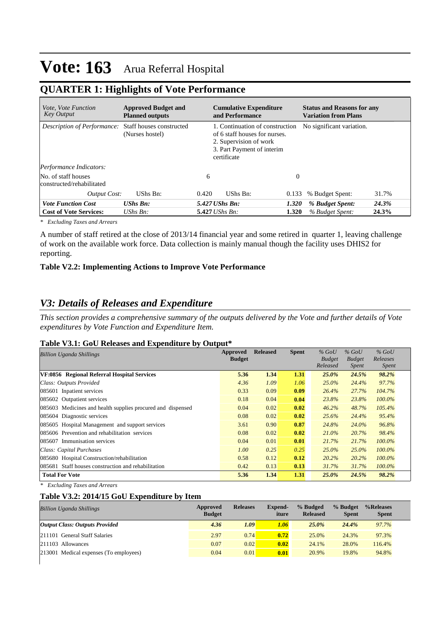### **QUARTER 1: Highlights of Vote Performance**

| <i>Vote, Vote Function</i><br><b>Key Output</b>  | <b>Approved Budget and</b><br><b>Planned outputs</b> |       | <b>Cumulative Expenditure</b><br>and Performance                                                                                        |          | <b>Status and Reasons for any</b><br><b>Variation from Plans</b> |       |  |  |
|--------------------------------------------------|------------------------------------------------------|-------|-----------------------------------------------------------------------------------------------------------------------------------------|----------|------------------------------------------------------------------|-------|--|--|
| Description of Performance:                      | Staff houses constructed<br>(Nurses hostel)          |       | 1. Continuation of construction<br>of 6 staff houses for nurses.<br>2. Supervision of work<br>3. Part Payment of interim<br>certificate |          | No significant variation.                                        |       |  |  |
| <i>Performance Indicators:</i>                   |                                                      |       |                                                                                                                                         |          |                                                                  |       |  |  |
| No. of staff houses<br>constructed/rehabilitated |                                                      | 6     |                                                                                                                                         | $\theta$ |                                                                  |       |  |  |
| <b>Output Cost:</b>                              | UShs Bn:                                             | 0.420 | UShs Bn:<br>0.133                                                                                                                       |          | % Budget Spent:                                                  | 31.7% |  |  |
| <b>Vote Function Cost</b>                        | <b>UShs Bn:</b>                                      |       | 5.427 UShs Bn:<br>1.320                                                                                                                 |          | % Budget Spent:                                                  | 24.3% |  |  |
| <b>Cost of Vote Services:</b>                    | UShs $B_n$ :                                         |       | $5.427$ UShs Bn:<br>1.320                                                                                                               |          | % Budget Spent:                                                  | 24.3% |  |  |

*\* Excluding Taxes and Arrears*

A number of staff retired at the close of 2013/14 financial year and some retired in quarter 1, leaving challenge of work on the available work force. Data collection is mainly manual though the facility uses DHIS2 for reporting.

### **Table V2.2: Implementing Actions to Improve Vote Performance**

### *V3: Details of Releases and Expenditure*

*This section provides a comprehensive summary of the outputs delivered by the Vote and further details of Vote expenditures by Vote Function and Expenditure Item.*

#### **Table V3.1: GoU Releases and Expenditure by Output\***

| <b>Billion Uganda Shillings</b>                             | Approved<br><b>Budget</b> | <b>Released</b> | <b>Spent</b> | $%$ GoU<br><b>Budget</b> | $%$ GoU<br><b>Budget</b> | $%$ GoU<br>Releases |
|-------------------------------------------------------------|---------------------------|-----------------|--------------|--------------------------|--------------------------|---------------------|
|                                                             |                           |                 |              | Released                 | <i>Spent</i>             | <i>Spent</i>        |
| VF:0856 Regional Referral Hospital Services                 | 5.36                      | 1.34            | 1.31         | $25.0\%$                 | 24.5%                    | 98.2%               |
| Class: Outputs Provided                                     | 4.36                      | 1.09            | 1.06         | $25.0\%$                 | 24.4%                    | 97.7%               |
| 085601 Inpatient services                                   | 0.33                      | 0.09            | 0.09         | 26.4%                    | 27.7%                    | 104.7%              |
| 085602 Outpatient services                                  | 0.18                      | 0.04            | 0.04         | 23.8%                    | 23.8%                    | 100.0%              |
| 085603 Medicines and health supplies procured and dispensed | 0.04                      | 0.02            | 0.02         | 46.2%                    | 48.7%                    | 105.4%              |
| 085604 Diagnostic services                                  | 0.08                      | 0.02            | 0.02         | 25.6%                    | 24.4%                    | 95.4%               |
| 085605 Hospital Management and support services             | 3.61                      | 0.90            | 0.87         | 24.8%                    | 24.0%                    | 96.8%               |
| 085606 Prevention and rehabilitation services               | 0.08                      | 0.02            | 0.02         | $21.0\%$                 | 20.7%                    | 98.4%               |
| Immunisation services<br>085607                             | 0.04                      | 0.01            | 0.01         | 21.7%                    | 21.7%                    | $100.0\%$           |
| Class: Capital Purchases                                    | 1.00                      | 0.25            | 0.25         | $25.0\%$                 | 25.0%                    | 100.0%              |
| 085680 Hospital Construction/rehabilitation                 | 0.58                      | 0.12            | 0.12         | $20.2\%$                 | 20.2%                    | $100.0\%$           |
| 085681 Staff houses construction and rehabilitation         | 0.42                      | 0.13            | 0.13         | 31.7%                    | 31.7%                    | $100.0\%$           |
| <b>Total For Vote</b>                                       | 5.36                      | 1.34            | 1.31         | 25.0%                    | 24.5%                    | 98.2%               |

*\* Excluding Taxes and Arrears*

#### **Table V3.2: 2014/15 GoU Expenditure by Item**

| <b>Billion Uganda Shillings</b>        | Approved<br><b>Budget</b> | <b>Releases</b> | <b>Expend-</b><br>iture | % Budged<br><b>Released</b> | % Budget<br><b>Spent</b> | %Releases<br><b>Spent</b> |
|----------------------------------------|---------------------------|-----------------|-------------------------|-----------------------------|--------------------------|---------------------------|
| <b>Output Class: Outputs Provided</b>  | 4.36                      | 1.09            | 1.06                    | 25.0%                       | 24.4%                    | 97.7%                     |
| 211101 General Staff Salaries          | 2.97                      | 0.74            | 0.72                    | 25.0%                       | 24.3%                    | 97.3%                     |
| $ 211103$ Allowances                   | 0.07                      | 0.02            | 0.02                    | 24.1%                       | 28.0%                    | 116.4%                    |
| 213001 Medical expenses (To employees) | 0.04                      | 0.01            | 0.01                    | 20.9%                       | 19.8%                    | 94.8%                     |
|                                        |                           |                 |                         |                             |                          |                           |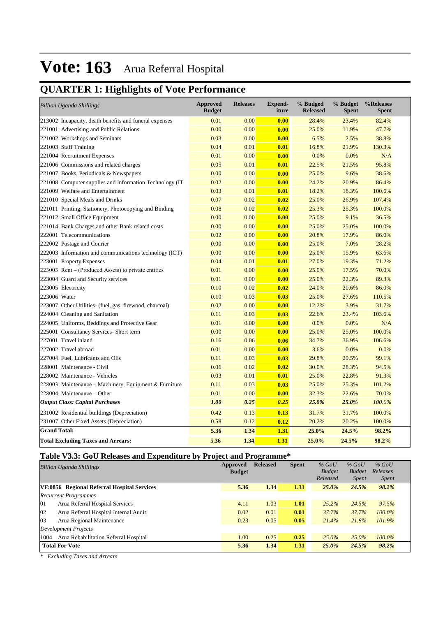## **QUARTER 1: Highlights of Vote Performance**

| <b>Billion Uganda Shillings</b>                          | <b>Approved</b><br><b>Budget</b> | <b>Releases</b> | <b>Expend-</b><br>iture | % Budged<br><b>Released</b> | % Budget<br><b>Spent</b> | %Releases<br><b>Spent</b> |
|----------------------------------------------------------|----------------------------------|-----------------|-------------------------|-----------------------------|--------------------------|---------------------------|
| 213002 Incapacity, death benefits and funeral expenses   | 0.01                             | 0.00            | 0.00                    | 28.4%                       | 23.4%                    | 82.4%                     |
| 221001 Advertising and Public Relations                  | 0.00                             | 0.00            | 0.00                    | 25.0%                       | 11.9%                    | 47.7%                     |
| 221002 Workshops and Seminars                            | 0.03                             | 0.00            | 0.00                    | 6.5%                        | 2.5%                     | 38.8%                     |
| 221003 Staff Training                                    | 0.04                             | 0.01            | 0.01                    | 16.8%                       | 21.9%                    | 130.3%                    |
| 221004 Recruitment Expenses                              | 0.01                             | 0.00            | 0.00                    | 0.0%                        | 0.0%                     | N/A                       |
| 221006 Commissions and related charges                   | 0.05                             | 0.01            | 0.01                    | 22.5%                       | 21.5%                    | 95.8%                     |
| 221007 Books, Periodicals & Newspapers                   | 0.00                             | 0.00            | 0.00                    | 25.0%                       | 9.6%                     | 38.6%                     |
| 221008 Computer supplies and Information Technology (IT) | 0.02                             | 0.00            | 0.00                    | 24.2%                       | 20.9%                    | 86.4%                     |
| 221009 Welfare and Entertainment                         | 0.03                             | 0.01            | 0.01                    | 18.2%                       | 18.3%                    | 100.6%                    |
| 221010 Special Meals and Drinks                          | 0.07                             | 0.02            | 0.02                    | 25.0%                       | 26.9%                    | 107.4%                    |
| 221011 Printing, Stationery, Photocopying and Binding    | 0.08                             | 0.02            | 0.02                    | 25.3%                       | 25.3%                    | 100.0%                    |
| 221012 Small Office Equipment                            | 0.00                             | 0.00            | 0.00                    | 25.0%                       | 9.1%                     | 36.5%                     |
| 221014 Bank Charges and other Bank related costs         | 0.00                             | 0.00            | 0.00                    | 25.0%                       | 25.0%                    | 100.0%                    |
| 222001 Telecommunications                                | 0.02                             | 0.00            | 0.00                    | 20.8%                       | 17.9%                    | 86.0%                     |
| 222002 Postage and Courier                               | 0.00                             | 0.00            | 0.00                    | 25.0%                       | 7.0%                     | 28.2%                     |
| 222003 Information and communications technology (ICT)   | 0.00                             | 0.00            | 0.00                    | 25.0%                       | 15.9%                    | 63.6%                     |
| 223001 Property Expenses                                 | 0.04                             | 0.01            | 0.01                    | 27.0%                       | 19.3%                    | 71.2%                     |
| 223003 Rent – (Produced Assets) to private entities      | 0.01                             | 0.00            | 0.00                    | 25.0%                       | 17.5%                    | 70.0%                     |
| 223004 Guard and Security services                       | 0.01                             | 0.00            | 0.00                    | 25.0%                       | 22.3%                    | 89.3%                     |
| 223005 Electricity                                       | 0.10                             | 0.02            | 0.02                    | 24.0%                       | 20.6%                    | 86.0%                     |
| 223006 Water                                             | 0.10                             | 0.03            | 0.03                    | 25.0%                       | 27.6%                    | 110.5%                    |
| 223007 Other Utilities- (fuel, gas, firewood, charcoal)  | 0.02                             | 0.00            | 0.00                    | 12.2%                       | 3.9%                     | 31.7%                     |
| 224004 Cleaning and Sanitation                           | 0.11                             | 0.03            | 0.03                    | 22.6%                       | 23.4%                    | 103.6%                    |
| 224005 Uniforms, Beddings and Protective Gear            | 0.01                             | 0.00            | 0.00                    | 0.0%                        | 0.0%                     | N/A                       |
| 225001 Consultancy Services- Short term                  | 0.00                             | 0.00            | 0.00                    | 25.0%                       | 25.0%                    | 100.0%                    |
| 227001 Travel inland                                     | 0.16                             | 0.06            | 0.06                    | 34.7%                       | 36.9%                    | 106.6%                    |
| 227002 Travel abroad                                     | 0.01                             | 0.00            | 0.00                    | 3.6%                        | 0.0%                     | 0.0%                      |
| 227004 Fuel, Lubricants and Oils                         | 0.11                             | 0.03            | 0.03                    | 29.8%                       | 29.5%                    | 99.1%                     |
| 228001 Maintenance - Civil                               | 0.06                             | 0.02            | 0.02                    | 30.0%                       | 28.3%                    | 94.5%                     |
| 228002 Maintenance - Vehicles                            | 0.03                             | 0.01            | 0.01                    | 25.0%                       | 22.8%                    | 91.3%                     |
| 228003 Maintenance – Machinery, Equipment & Furniture    | 0.11                             | 0.03            | 0.03                    | 25.0%                       | 25.3%                    | 101.2%                    |
| $228004$ Maintenance – Other                             | 0.01                             | 0.00            | 0.00                    | 32.3%                       | 22.6%                    | 70.0%                     |
| <b>Output Class: Capital Purchases</b>                   | 1.00                             | 0.25            | 0.25                    | 25.0%                       | 25.0%                    | 100.0%                    |
| 231002 Residential buildings (Depreciation)              | 0.42                             | 0.13            | 0.13                    | 31.7%                       | 31.7%                    | 100.0%                    |
| 231007 Other Fixed Assets (Depreciation)                 | 0.58                             | 0.12            | 0.12                    | 20.2%                       | 20.2%                    | 100.0%                    |
| <b>Grand Total:</b>                                      | 5.36                             | 1.34            | 1.31                    | 25.0%                       | 24.5%                    | 98.2%                     |
| <b>Total Excluding Taxes and Arrears:</b>                | 5.36                             | 1.34            | 1.31                    | 25.0%                       | 24.5%                    | 98.2%                     |

### **Table V3.3: GoU Releases and Expenditure by Project and Programme\***

| <b>Billion Uganda Shillings</b>               | Approved      | <b>Released</b> | <b>Spent</b> | $%$ GoU       | $%$ GoU       | $%$ GoU  |  |
|-----------------------------------------------|---------------|-----------------|--------------|---------------|---------------|----------|--|
|                                               | <b>Budget</b> |                 |              | <b>Budget</b> | <b>Budget</b> | Releases |  |
|                                               |               |                 |              | Released      | <i>Spent</i>  | Spent    |  |
| VF:0856 Regional Referral Hospital Services   | 5.36          | 1.34            | 1.31         | 25.0%         | 24.5%         | 98.2%    |  |
| <b>Recurrent Programmes</b>                   |               |                 |              |               |               |          |  |
| 01<br>Arua Referral Hospital Services         | 4.11          | 1.03            | 1.01         | 25.2%         | 24.5%         | 97.5%    |  |
| 02<br>Arua Referral Hospital Internal Audit   | 0.02          | 0.01            | 0.01         | 37.7%         | 37.7%         | 100.0%   |  |
| 03<br>Arua Regional Maintenance               | 0.23          | 0.05            | 0.05         | 21.4%         | 21.8%         | 101.9%   |  |
| Development Projects                          |               |                 |              |               |               |          |  |
| Arua Rehabilitation Referral Hospital<br>1004 | 1.00          | 0.25            | 0.25         | $25.0\%$      | $25.0\%$      | 100.0%   |  |
| <b>Total For Vote</b>                         | 5.36          | 1.34            | 1.31         | 25.0%         | 24.5%         | 98.2%    |  |

*\* Excluding Taxes and Arrears*